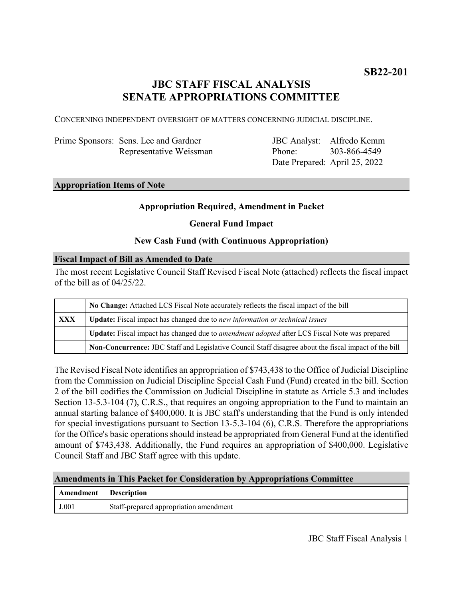# **JBC STAFF FISCAL ANALYSIS SENATE APPROPRIATIONS COMMITTEE**

CONCERNING INDEPENDENT OVERSIGHT OF MATTERS CONCERNING JUDICIAL DISCIPLINE.

| Prime Sponsors: Sens. Lee and Gardner |
|---------------------------------------|
| Representative Weissman               |

JBC Analyst: Alfredo Kemm Phone: Date Prepared: April 25, 2022 303-866-4549

#### **Appropriation Items of Note**

### **Appropriation Required, Amendment in Packet**

#### **General Fund Impact**

### **New Cash Fund (with Continuous Appropriation)**

#### **Fiscal Impact of Bill as Amended to Date**

The most recent Legislative Council Staff Revised Fiscal Note (attached) reflects the fiscal impact of the bill as of 04/25/22.

|     | No Change: Attached LCS Fiscal Note accurately reflects the fiscal impact of the bill                 |  |
|-----|-------------------------------------------------------------------------------------------------------|--|
| XXX | <b>Update:</b> Fiscal impact has changed due to new information or technical issues                   |  |
|     | Update: Fiscal impact has changed due to <i>amendment adopted</i> after LCS Fiscal Note was prepared  |  |
|     | Non-Concurrence: JBC Staff and Legislative Council Staff disagree about the fiscal impact of the bill |  |

The Revised Fiscal Note identifies an appropriation of \$743,438 to the Office of Judicial Discipline from the Commission on Judicial Discipline Special Cash Fund (Fund) created in the bill. Section 2 of the bill codifies the Commission on Judicial Discipline in statute as Article 5.3 and includes Section 13-5.3-104 (7), C.R.S., that requires an ongoing appropriation to the Fund to maintain an annual starting balance of \$400,000. It is JBC staff's understanding that the Fund is only intended for special investigations pursuant to Section 13-5.3-104 (6), C.R.S. Therefore the appropriations for the Office's basic operations should instead be appropriated from General Fund at the identified amount of \$743,438. Additionally, the Fund requires an appropriation of \$400,000. Legislative Council Staff and JBC Staff agree with this update.

#### **Amendments in This Packet for Consideration by Appropriations Committee**

| Amendment | <b>Description</b>                     |
|-----------|----------------------------------------|
| J.001     | Staff-prepared appropriation amendment |